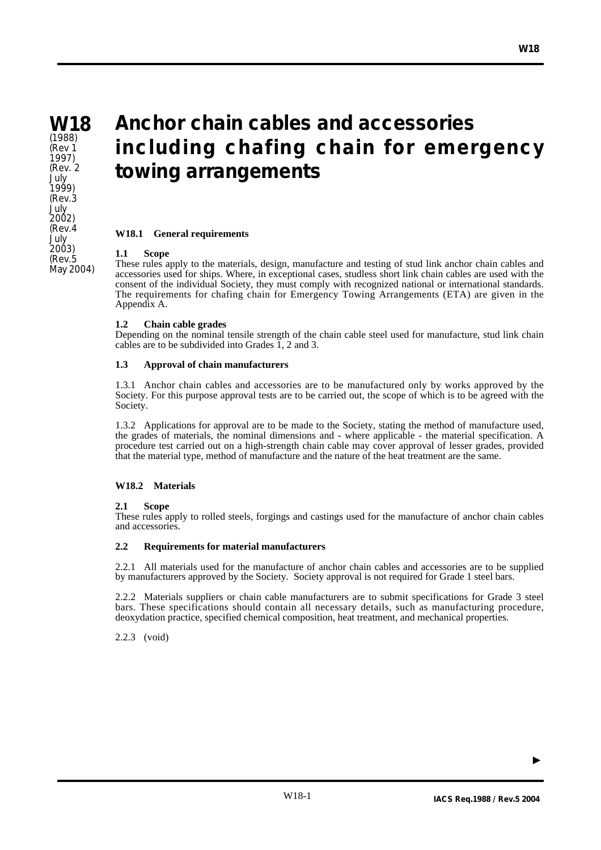**W18** (1988) (Rev 1 1997) (Rev. 2 July 1999) (Rev.3 July  $2002$ (Rev.4 July 2003) (Rev.5 May 2004)

# **Anchor chain cables and accessories including chafing chain for emergency towing arrangements**

## **W18.1 General requirements**

## **1.1 Scope**

These rules apply to the materials, design, manufacture and testing of stud link anchor chain cables and accessories used for ships. Where, in exceptional cases, studless short link chain cables are used with the consent of the individual Society, they must comply with recognized national or international standards. The requirements for chafing chain for Emergency Towing Arrangements (ETA) are given in the Appendix A.

## **1.2 Chain cable grades**

Depending on the nominal tensile strength of the chain cable steel used for manufacture, stud link chain cables are to be subdivided into Grades 1, 2 and 3.

## **1.3 Approval of chain manufacturers**

1.3.1 Anchor chain cables and accessories are to be manufactured only by works approved by the Society. For this purpose approval tests are to be carried out, the scope of which is to be agreed with the Society.

1.3.2 Applications for approval are to be made to the Society, stating the method of manufacture used, the grades of materials, the nominal dimensions and - where applicable - the material specification. A procedure test carried out on a high-strength chain cable may cover approval of lesser grades, provided that the material type, method of manufacture and the nature of the heat treatment are the same.

# **W18.2 Materials**

# **2.1 Scope**

These rules apply to rolled steels, forgings and castings used for the manufacture of anchor chain cables and accessories.

#### **2.2 Requirements for material manufacturers**

2.2.1 All materials used for the manufacture of anchor chain cables and accessories are to be supplied by manufacturers approved by the Society. Society approval is not required for Grade 1 steel bars.

2.2.2 Materials suppliers or chain cable manufacturers are to submit specifications for Grade 3 steel bars. These specifications should contain all necessary details, such as manufacturing procedure, deoxydation practice, specified chemical composition, heat treatment, and mechanical properties.

2.2.3 (void)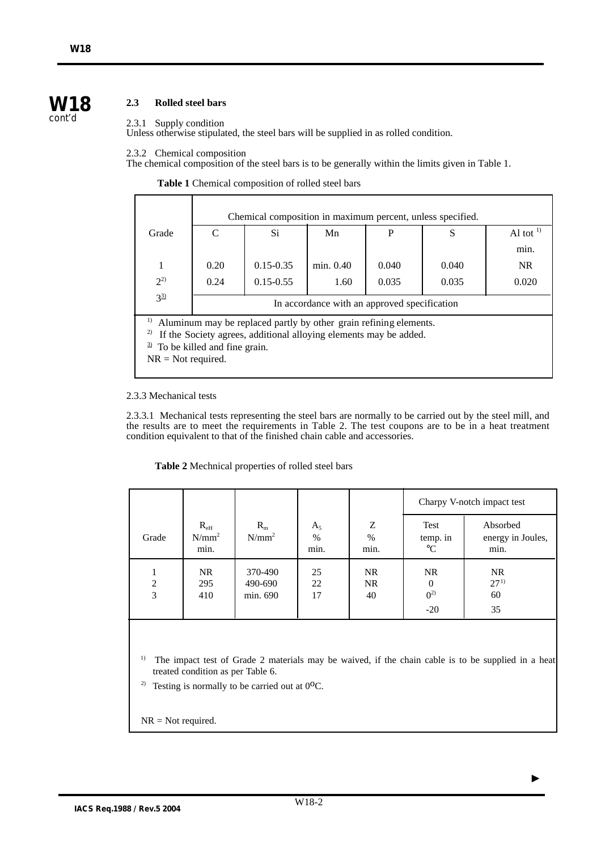# **2.3 Rolled steel bars**

# 2.3.1 Supply condition

Unless otherwise stipulated, the steel bars will be supplied in as rolled condition.

#### 2.3.2 Chemical composition

The chemical composition of the steel bars is to be generally within the limits given in Table 1.

**Table 1** Chemical composition of rolled steel bars

|                                                                                                                                                                                                            |                                              | Chemical composition in maximum percent, unless specified. |           |       |       |            |
|------------------------------------------------------------------------------------------------------------------------------------------------------------------------------------------------------------|----------------------------------------------|------------------------------------------------------------|-----------|-------|-------|------------|
| Grade                                                                                                                                                                                                      | C                                            | Si.                                                        | Mn        | P     | S     | Al tot $1$ |
|                                                                                                                                                                                                            |                                              |                                                            |           |       |       | min.       |
| 1                                                                                                                                                                                                          | 0.20                                         | $0.15 - 0.35$                                              | min. 0.40 | 0.040 | 0.040 | NR.        |
| $2^{2}$                                                                                                                                                                                                    | 0.24                                         | $0.15 - 0.55$                                              | 1.60      | 0.035 | 0.035 | 0.020      |
| $3^{31}$                                                                                                                                                                                                   | In accordance with an approved specification |                                                            |           |       |       |            |
| 1)<br>Aluminum may be replaced partly by other grain refining elements.<br>2)<br>If the Society agrees, additional alloying elements may be added.<br>To be killed and fine grain.<br>$NR = Not required.$ |                                              |                                                            |           |       |       |            |

## 2.3.3 Mechanical tests

2.3.3.1 Mechanical tests representing the steel bars are normally to be carried out by the steel mill, and the results are to meet the requirements in Table 2. The test coupons are to be in a heat treatment condition equivalent to that of the finished chain cable and accessories.

**Table 2** Mechnical properties of rolled steel bars

|        |                                  |                                |                       |                   |                                            | Charpy V-notch impact test            |
|--------|----------------------------------|--------------------------------|-----------------------|-------------------|--------------------------------------------|---------------------------------------|
| Grade  | $R_{\rm eH}$<br>$N/mm^2$<br>min. | $R_{m}$<br>$N/mm^2$            | $A_5$<br>$\%$<br>min. | Ζ<br>$\%$<br>min. | Test<br>temp. in<br>$\rm ^{\circ}C$        | Absorbed<br>energy in Joules,<br>min. |
| 2<br>3 | <b>NR</b><br>295<br>410          | 370-490<br>490-690<br>min. 690 | 25<br>22<br>17        | NR.<br>NR<br>40   | <b>NR</b><br>$\theta$<br>$0^{2)}$<br>$-20$ | <b>NR</b><br>$27^{1}$<br>60<br>35     |

<sup>1)</sup> The impact test of Grade 2 materials may be waived, if the chain cable is to be supplied in a heat treated condition as per Table 6.

<sup>2)</sup> Testing is normally to be carried out at  $0^{\circ}$ C.

NR = Not required.

 $\blacktriangleright$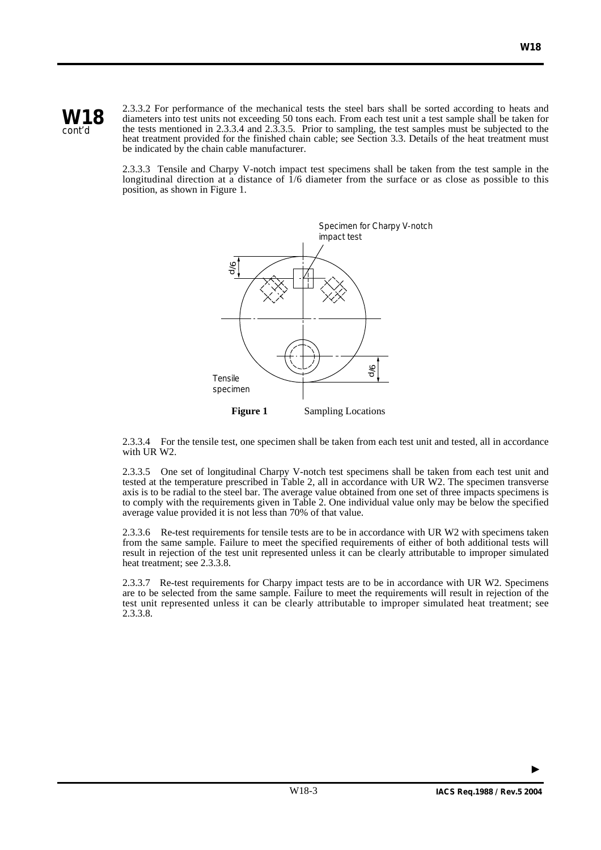



2.3.3.2 For performance of the mechanical tests the steel bars shall be sorted according to heats and diameters into test units not exceeding 50 tons each. From each test unit a test sample shall be taken for the tests mentioned in 2.3.3.4 and 2.3.3.5. Prior to sampling, the test samples must be subjected to the heat treatment provided for the finished chain cable; see Section 3.3. Details of the heat treatment must be indicated by the chain cable manufacturer.

2.3.3.3 Tensile and Charpy V-notch impact test specimens shall be taken from the test sample in the longitudinal direction at a distance of  $\frac{1}{6}$  diameter from the surface or as close as possible to this position, as shown in Figure 1.



2.3.3.4 For the tensile test, one specimen shall be taken from each test unit and tested, all in accordance with UR W2.

2.3.3.5 One set of longitudinal Charpy V-notch test specimens shall be taken from each test unit and tested at the temperature prescribed in Table 2, all in accordance with UR W2. The specimen transverse axis is to be radial to the steel bar. The average value obtained from one set of three impacts specimens is to comply with the requirements given in Table 2. One individual value only may be below the specified average value provided it is not less than 70% of that value.

2.3.3.6 Re-test requirements for tensile tests are to be in accordance with UR W2 with specimens taken from the same sample. Failure to meet the specified requirements of either of both additional tests will result in rejection of the test unit represented unless it can be clearly attributable to improper simulated heat treatment; see 2.3.3.8.

2.3.3.7 Re-test requirements for Charpy impact tests are to be in accordance with UR W2. Specimens are to be selected from the same sample. Failure to meet the requirements will result in rejection of the test unit represented unless it can be clearly attributable to improper simulated heat treatment; see 2.3.3.8.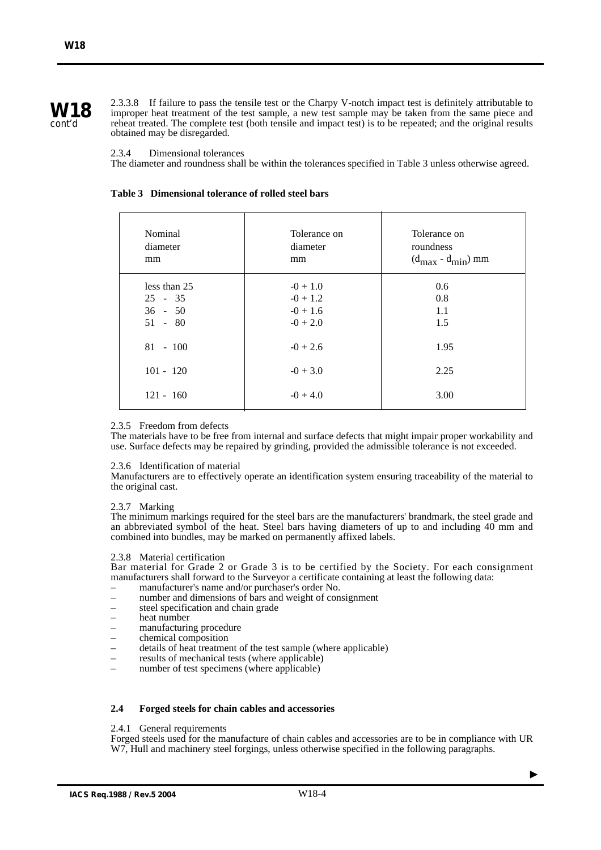2.3.3.8 If failure to pass the tensile test or the Charpy V-notch impact test is definitely attributable to improper heat treatment of the test sample, a new test sample may be taken from the same piece and reheat treated. The complete test (both tensile and impact test) is to be repeated; and the original results obtained may be disregarded.

## 2.3.4 Dimensional tolerances

The diameter and roundness shall be within the tolerances specified in Table 3 unless otherwise agreed.

| Nominal      | Tolerance on | Tolerance on             |
|--------------|--------------|--------------------------|
| diameter     | diameter     | roundness                |
| mm           | mm           | $(d_{max} - d_{min})$ mm |
| less than 25 | $-0+1.0$     | 0.6                      |
| $25 - 35$    | $-0 + 1.2$   | 0.8                      |
| $36 - 50$    | $-0 + 1.6$   | 1.1                      |
| $51 - 80$    | $-0 + 2.0$   | 1.5                      |
| $81 - 100$   | $-0 + 2.6$   | 1.95                     |
| $101 - 120$  | $-0 + 3.0$   | 2.25                     |
| $121 - 160$  | $-0 + 4.0$   | 3.00                     |

# **Table 3 Dimensional tolerance of rolled steel bars**

# 2.3.5 Freedom from defects

The materials have to be free from internal and surface defects that might impair proper workability and use. Surface defects may be repaired by grinding, provided the admissible tolerance is not exceeded.

# 2.3.6 Identification of material

Manufacturers are to effectively operate an identification system ensuring traceability of the material to the original cast.

# 2.3.7 Marking

The minimum markings required for the steel bars are the manufacturers' brandmark, the steel grade and an abbreviated symbol of the heat. Steel bars having diameters of up to and including 40 mm and combined into bundles, may be marked on permanently affixed labels.

#### 2.3.8 Material certification

Bar material for Grade 2 or Grade 3 is to be certified by the Society. For each consignment manufacturers shall forward to the Surveyor a certificate containing at least the following data:

- manufacturer's name and/or purchaser's order No.
- number and dimensions of bars and weight of consignment
- steel specification and chain grade
- heat number
- manufacturing procedure
- chemical composition
- details of heat treatment of the test sample (where applicable)
- results of mechanical tests (where applicable)
- number of test specimens (where applicable)

# **2.4 Forged steels for chain cables and accessories**

#### 2.4.1 General requirements

Forged steels used for the manufacture of chain cables and accessories are to be in compliance with UR W7, Hull and machinery steel forgings, unless otherwise specified in the following paragraphs.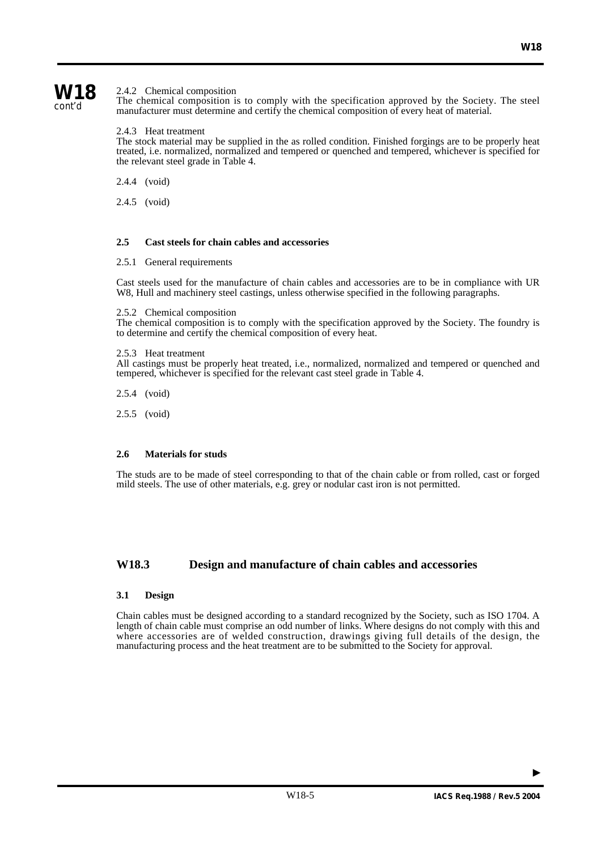# **W18**

cont'd

# 2.4.2 Chemical composition

The chemical composition is to comply with the specification approved by the Society. The steel manufacturer must determine and certify the chemical composition of every heat of material.

# 2.4.3 Heat treatment

The stock material may be supplied in the as rolled condition. Finished forgings are to be properly heat treated, i.e. normalized, normalized and tempered or quenched and tempered, whichever is specified for the relevant steel grade in Table 4.

2.4.4 (void)

2.4.5 (void)

# **2.5 Cast steels for chain cables and accessories**

2.5.1 General requirements

Cast steels used for the manufacture of chain cables and accessories are to be in compliance with UR W8, Hull and machinery steel castings, unless otherwise specified in the following paragraphs.

2.5.2 Chemical composition

The chemical composition is to comply with the specification approved by the Society. The foundry is to determine and certify the chemical composition of every heat.

# 2.5.3 Heat treatment

All castings must be properly heat treated, i.e., normalized, normalized and tempered or quenched and tempered, whichever is specified for the relevant cast steel grade in Table 4.

2.5.4 (void)

2.5.5 (void)

# **2.6 Materials for studs**

The studs are to be made of steel corresponding to that of the chain cable or from rolled, cast or forged mild steels. The use of other materials, e.g. grey or nodular cast iron is not permitted.

# **W18.3 Design and manufacture of chain cables and accessories**

# **3.1 Design**

Chain cables must be designed according to a standard recognized by the Society, such as ISO 1704. A length of chain cable must comprise an odd number of links. Where designs do not comply with this and where accessories are of welded construction, drawings giving full details of the design, the manufacturing process and the heat treatment are to be submitted to the Society for approval.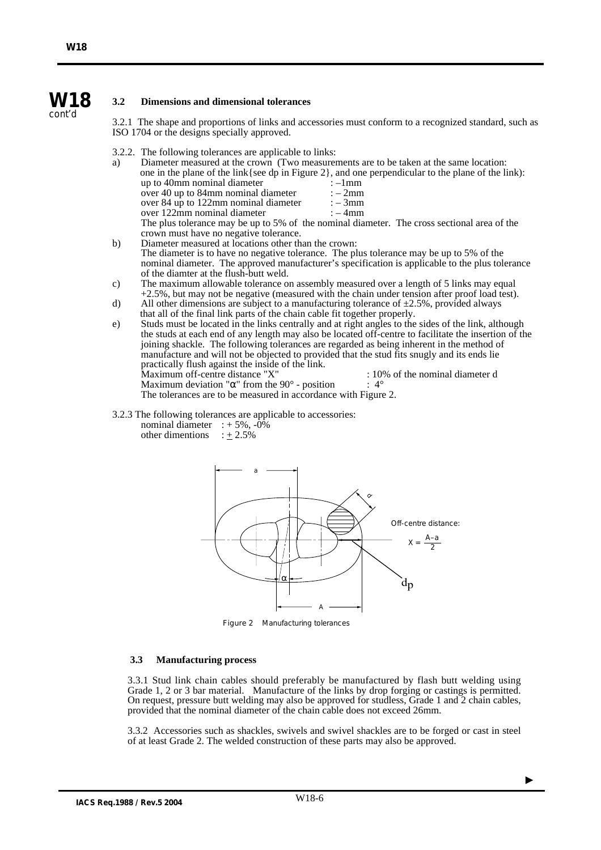#### **W18 3.2 Dimensions and dimensional tolerances**

3.2.1 The shape and proportions of links and accessories must conform to a recognized standard, such as ISO 1704 or the designs specially approved.

3.2.2. The following tolerances are applicable to links:

| a) |                                                      | Diameter measured at the crown (Two measurements are to be taken at the same location:                |
|----|------------------------------------------------------|-------------------------------------------------------------------------------------------------------|
|    |                                                      | one in the plane of the link { see dp in Figure 2 }, and one perpendicular to the plane of the link): |
|    | up to 40mm nominal diameter                          | $:-1$ mm                                                                                              |
|    | over 40 up to 84mm nominal diameter                  | $:-2mm$                                                                                               |
|    | over 84 up to 122mm nominal diameter                 | $: -3mm$                                                                                              |
|    | over 122mm nominal diameter                          | $:-4mm$                                                                                               |
|    |                                                      | The plus tolerance may be up to 5% of the nominal diameter. The cross sectional area of the           |
|    | crown must have no negative tolerance.               |                                                                                                       |
| b) | Diameter measured at locations other than the crown: |                                                                                                       |
|    |                                                      |                                                                                                       |

- The diameter is to have no negative tolerance. The plus tolerance may be up to 5% of the nominal diameter. The approved manufacturer's specification is applicable to the plus tolerance of the diamter at the flush-butt weld.
- c) The maximum allowable tolerance on assembly measured over a length of 5 links may equal +2.5%, but may not be negative (measured with the chain under tension after proof load test).
- d) All other dimensions are subject to a manufacturing tolerance of  $\pm 2.5$ %, provided always that all of the final link parts of the chain cable fit together properly.
- e) Studs must be located in the links centrally and at right angles to the sides of the link, although the studs at each end of any length may also be located off-centre to facilitate the insertion of the joining shackle. The following tolerances are regarded as being inherent in the method of manufacture and will not be objected to provided that the stud fits snugly and its ends lie practically flush against the inside of the link. Maximum off-centre distance "X" : 10% of the nominal diameter d<br>Maximum deviation " $\alpha$ " from the 90° - position : 4° Maximum deviation " $\alpha$ " from the 90° - position The tolerances are to be measured in accordance with Figure 2.
- 3.2.3 The following tolerances are applicable to accessories:
	- nominal diameter  $: +5\%$ ,  $-0\%$ other dimentions  $\div 2.5\%$



Figure 2 Manufacturing tolerances

#### **3.3 Manufacturing process**

3.3.1 Stud link chain cables should preferably be manufactured by flash butt welding using Grade 1, 2 or 3 bar material. Manufacture of the links by drop forging or castings is permitted. On request, pressure butt welding may also be approved for studless, Grade 1 and 2 chain cables, provided that the nominal diameter of the chain cable does not exceed 26mm.

3.3.2 Accessories such as shackles, swivels and swivel shackles are to be forged or cast in steel of at least Grade 2. The welded construction of these parts may also be approved.

cont'd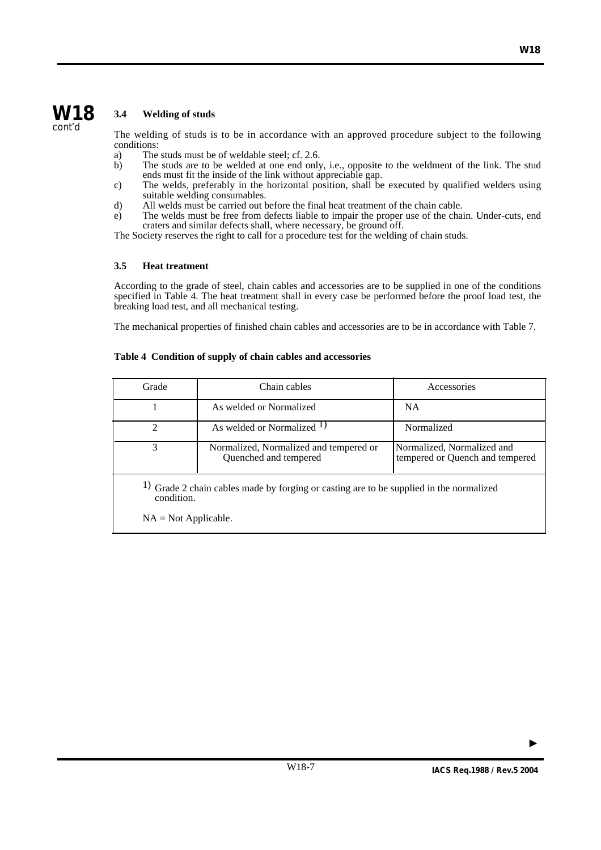# **3.4 Welding of studs**

The welding of studs is to be in accordance with an approved procedure subject to the following conditions:

- a) The studs must be of weldable steel; cf. 2.6.<br>b) The studs are to be welded at one end only
- The studs are to be welded at one end only, i.e., opposite to the weldment of the link. The stud ends must fit the inside of the link without appreciable gap.
- c) The welds, preferably in the horizontal position, shall be executed by qualified welders using suitable welding consumables.
- d) All welds must be carried out before the final heat treatment of the chain cable.
- e) The welds must be free from defects liable to impair the proper use of the chain. Under-cuts, end craters and similar defects shall, where necessary, be ground off.

The Society reserves the right to call for a procedure test for the welding of chain studs.

# **3.5 Heat treatment**

According to the grade of steel, chain cables and accessories are to be supplied in one of the conditions specified in Table 4. The heat treatment shall in every case be performed before the proof load test, the breaking load test, and all mechanical testing.

The mechanical properties of finished chain cables and accessories are to be in accordance with Table 7.

# **Table 4 Condition of supply of chain cables and accessories**

| Grade                                                                                                 | Chain cables                                                    | Accessories                                                   |  |  |  |  |  |
|-------------------------------------------------------------------------------------------------------|-----------------------------------------------------------------|---------------------------------------------------------------|--|--|--|--|--|
|                                                                                                       | As welded or Normalized                                         | <b>NA</b>                                                     |  |  |  |  |  |
| $\mathfrak{D}$                                                                                        | As welded or Normalized <sup>1)</sup>                           | Normalized                                                    |  |  |  |  |  |
| 3                                                                                                     | Normalized, Normalized and tempered or<br>Quenched and tempered | Normalized, Normalized and<br>tempered or Quench and tempered |  |  |  |  |  |
| 1) Grade 2 chain cables made by forging or casting are to be supplied in the normalized<br>condition. |                                                                 |                                                               |  |  |  |  |  |
|                                                                                                       | $NA = Not Applicable.$                                          |                                                               |  |  |  |  |  |

W18-7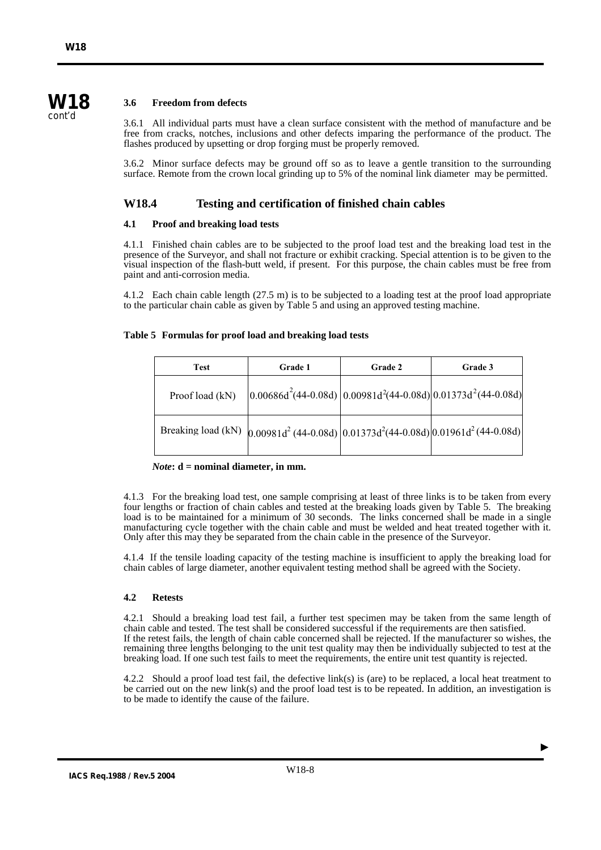# **W18**

cont'd

# **3.6 Freedom from defects**

3.6.1 All individual parts must have a clean surface consistent with the method of manufacture and be free from cracks, notches, inclusions and other defects imparing the performance of the product. The flashes produced by upsetting or drop forging must be properly removed.

3.6.2 Minor surface defects may be ground off so as to leave a gentle transition to the surrounding surface. Remote from the crown local grinding up to 5% of the nominal link diameter may be permitted.

# **W18.4 Testing and certification of finished chain cables**

# **4.1 Proof and breaking load tests**

4.1.1 Finished chain cables are to be subjected to the proof load test and the breaking load test in the presence of the Surveyor, and shall not fracture or exhibit cracking. Special attention is to be given to the visual inspection of the flash-butt weld, if present. For this purpose, the chain cables must be free from paint and anti-corrosion media.

4.1.2 Each chain cable length (27.5 m) is to be subjected to a loading test at the proof load appropriate to the particular chain cable as given by Table 5 and using an approved testing machine.

# **Table 5 Formulas for proof load and breaking load tests**

| <b>Test</b>     | Grade 1                                                                                  | Grade 2 | Grade 3 |
|-----------------|------------------------------------------------------------------------------------------|---------|---------|
| Proof load (kN) | $\left[0.00686d^{2}(44-0.08d)\right]0.00981d^{2}(44-0.08d)\right]0.01373d^{2}(44-0.08d)$ |         |         |
|                 | Breaking load (kN) $(0.00981d^2)(44-0.08d)(0.01373d^2)(44-0.08d)(0.01961d^2)(44-0.08d)$  |         |         |

*Note***: d = nominal diameter, in mm.**

4.1.3 For the breaking load test, one sample comprising at least of three links is to be taken from every four lengths or fraction of chain cables and tested at the breaking loads given by Table 5. The breaking load is to be maintained for a minimum of 30 seconds. The links concerned shall be made in a single manufacturing cycle together with the chain cable and must be welded and heat treated together with it. Only after this may they be separated from the chain cable in the presence of the Surveyor.

4.1.4 If the tensile loading capacity of the testing machine is insufficient to apply the breaking load for chain cables of large diameter, another equivalent testing method shall be agreed with the Society.

# **4.2 Retests**

4.2.1 Should a breaking load test fail, a further test specimen may be taken from the same length of chain cable and tested. The test shall be considered successful if the requirements are then satisfied. If the retest fails, the length of chain cable concerned shall be rejected. If the manufacturer so wishes, the remaining three lengths belonging to the unit test quality may then be individually subjected to test at the breaking load. If one such test fails to meet the requirements, the entire unit test quantity is rejected.

4.2.2 Should a proof load test fail, the defective link(s) is (are) to be replaced, a local heat treatment to be carried out on the new link(s) and the proof load test is to be repeated. In addition, an investigation is to be made to identify the cause of the failure.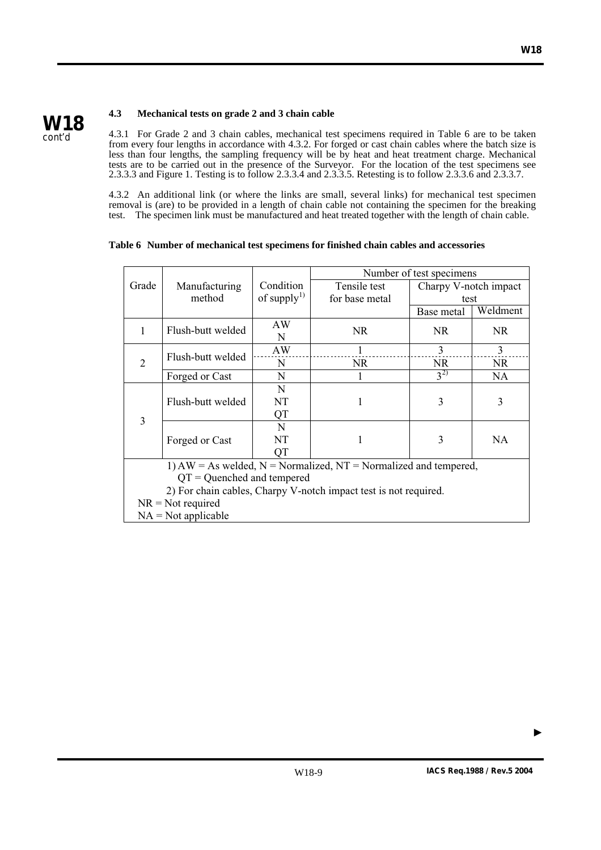

# **4.3 Mechanical tests on grade 2 and 3 chain cable**

4.3.1 For Grade 2 and 3 chain cables, mechanical test specimens required in Table 6 are to be taken from every four lengths in accordance with 4.3.2. For forged or cast chain cables where the batch size is less than four lengths, the sampling frequency will be by heat and heat treatment charge. Mechanical tests are to be carried out in the presence of the Surveyor. For the location of the test specimens see 2.3.3.3 and Figure 1. Testing is to follow 2.3.3.4 and 2.3.3.5. Retesting is to follow 2.3.3.6 and 2.3.3.7.

4.3.2 An additional link (or where the links are small, several links) for mechanical test specimen removal is (are) to be provided in a length of chain cable not containing the specimen for the breaking test. The specimen link must be manufactured and heat treated together with the length of chain cable.

# **Table 6 Number of mechanical test specimens for finished chain cables and accessories**

|                                                                  |                                                                         |                         | Number of test specimens |                       |           |  |  |
|------------------------------------------------------------------|-------------------------------------------------------------------------|-------------------------|--------------------------|-----------------------|-----------|--|--|
| Grade                                                            | Manufacturing                                                           | Condition               | Tensile test             | Charpy V-notch impact |           |  |  |
|                                                                  | method                                                                  | of supply <sup>1)</sup> | for base metal           | test                  |           |  |  |
|                                                                  |                                                                         |                         |                          | Base metal            | Weldment  |  |  |
| 1                                                                | Flush-butt welded                                                       | AW                      | NR.                      | NR.                   | NR.       |  |  |
|                                                                  |                                                                         | N                       |                          |                       |           |  |  |
|                                                                  | Flush-butt welded                                                       | AW                      | 1                        | 3                     | 3         |  |  |
| $\overline{c}$                                                   |                                                                         | N                       | <b>NR</b>                | NR.                   | <b>NR</b> |  |  |
|                                                                  | Forged or Cast                                                          | N                       |                          | $3^{2)}$              | <b>NA</b> |  |  |
|                                                                  |                                                                         | N                       |                          |                       |           |  |  |
|                                                                  | Flush-butt welded                                                       | NT                      |                          | 3                     | 3         |  |  |
| 3                                                                |                                                                         | QT                      |                          |                       |           |  |  |
|                                                                  |                                                                         | N                       |                          |                       |           |  |  |
|                                                                  | Forged or Cast                                                          | NT                      | 1                        | 3                     | <b>NA</b> |  |  |
|                                                                  |                                                                         | QT                      |                          |                       |           |  |  |
|                                                                  | 1) $AW = As$ welded, $N = Normalized$ , $NT = Normalized$ and tempered, |                         |                          |                       |           |  |  |
| $QT =$ Quenched and tempered                                     |                                                                         |                         |                          |                       |           |  |  |
| 2) For chain cables, Charpy V-notch impact test is not required. |                                                                         |                         |                          |                       |           |  |  |
| $NR = Not required$                                              |                                                                         |                         |                          |                       |           |  |  |
|                                                                  | $NA = Not applicable$                                                   |                         |                          |                       |           |  |  |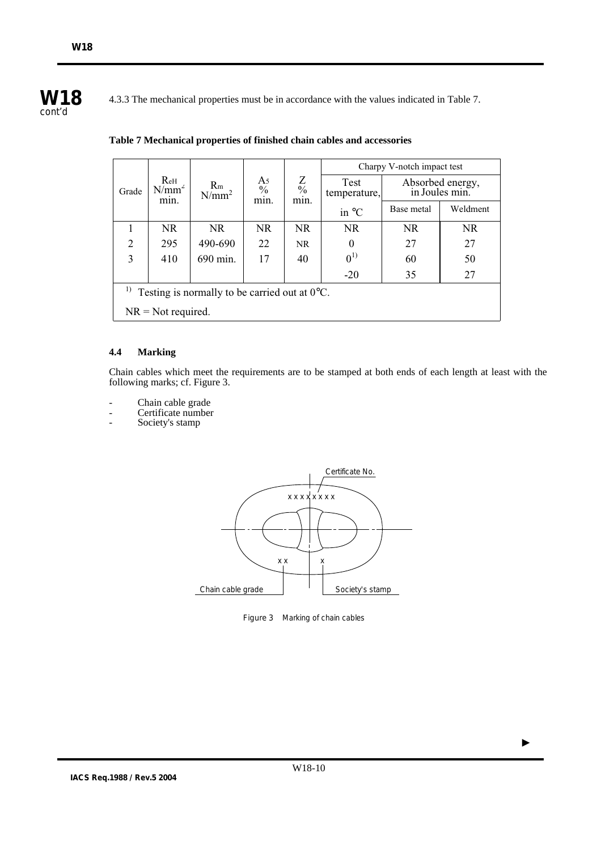

4.3.3 The mechanical properties must be in accordance with the values indicated in Table 7.

|                                                                       |                         |                            |                             |                        | Charpy V-notch impact test |            |                                    |
|-----------------------------------------------------------------------|-------------------------|----------------------------|-----------------------------|------------------------|----------------------------|------------|------------------------------------|
| Grade                                                                 | ReH<br>$N/mm^2$<br>min. | R <sub>m</sub><br>$N/mm^2$ | A5<br>$\frac{0}{0}$<br>min. | $\frac{Z}{\%}$<br>min. | Test<br>temperature,       |            | Absorbed energy,<br>in Joules min. |
|                                                                       |                         |                            |                             |                        | in $\mathrm{C}$            | Base metal | Weldment                           |
|                                                                       | <b>NR</b>               | NR.                        | <b>NR</b>                   | NR.                    | NR.                        | <b>NR</b>  | NR.                                |
| $\overline{2}$                                                        | 295                     | 490-690                    | 22                          | <b>NR</b>              | $\theta$                   | 27         | 27                                 |
| 3                                                                     | 410                     | 690 min.                   | 17                          | 40                     | $0^{1)}$                   | 60         | 50                                 |
|                                                                       |                         |                            |                             |                        | $-20$                      | 35         | 27                                 |
| <sup>1)</sup> Testing is normally to be carried out at $0^{\circ}$ C. |                         |                            |                             |                        |                            |            |                                    |
|                                                                       | $NR = Not required.$    |                            |                             |                        |                            |            |                                    |

# **Table 7 Mechanical properties of finished chain cables and accessories**

# **4.4 Marking**

Chain cables which meet the requirements are to be stamped at both ends of each length at least with the following marks; cf. Figure 3.

- Chain cable grade
- Certificate number
- Society's stamp



Figure 3 Marking of chain cables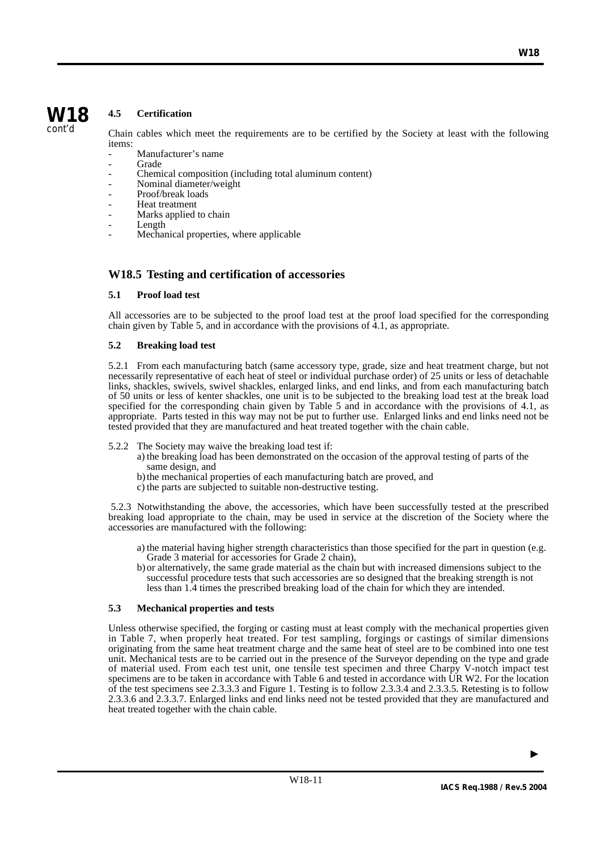

# **4.5 Certification**

Chain cables which meet the requirements are to be certified by the Society at least with the following items:

- Manufacturer's name
- **Grade**
- Chemical composition (including total aluminum content)
- Nominal diameter/weight
- Proof/break loads
- Heat treatment
- Marks applied to chain
- Length
- Mechanical properties, where applicable

# **W18.5 Testing and certification of accessories**

# **5.1 Proof load test**

All accessories are to be subjected to the proof load test at the proof load specified for the corresponding chain given by Table 5, and in accordance with the provisions of  $4.1$ , as appropriate.

# **5.2 Breaking load test**

5.2.1 From each manufacturing batch (same accessory type, grade, size and heat treatment charge, but not necessarily representative of each heat of steel or individual purchase order) of 25 units or less of detachable links, shackles, swivels, swivel shackles, enlarged links, and end links, and from each manufacturing batch of 50 units or less of kenter shackles, one unit is to be subjected to the breaking load test at the break load specified for the corresponding chain given by Table 5 and in accordance with the provisions of 4.1, as appropriate. Parts tested in this way may not be put to further use. Enlarged links and end links need not be tested provided that they are manufactured and heat treated together with the chain cable.

- 5.2.2 The Society may waive the breaking load test if:
	- a) the breaking load has been demonstrated on the occasion of the approval testing of parts of the same design, and
	- b) the mechanical properties of each manufacturing batch are proved, and
	- c) the parts are subjected to suitable non-destructive testing.

5.2.3 Notwithstanding the above, the accessories, which have been successfully tested at the prescribed breaking load appropriate to the chain, may be used in service at the discretion of the Society where the accessories are manufactured with the following:

- a) the material having higher strength characteristics than those specified for the part in question (e.g. Grade 3 material for accessories for Grade 2 chain),
- b) or alternatively, the same grade material as the chain but with increased dimensions subject to the successful procedure tests that such accessories are so designed that the breaking strength is not less than 1.4 times the prescribed breaking load of the chain for which they are intended.

# **5.3 Mechanical properties and tests**

Unless otherwise specified, the forging or casting must at least comply with the mechanical properties given in Table 7, when properly heat treated. For test sampling, forgings or castings of similar dimensions originating from the same heat treatment charge and the same heat of steel are to be combined into one test unit. Mechanical tests are to be carried out in the presence of the Surveyor depending on the type and grade of material used. From each test unit, one tensile test specimen and three Charpy V-notch impact test specimens are to be taken in accordance with Table 6 and tested in accordance with UR W2. For the location of the test specimens see 2.3.3.3 and Figure 1. Testing is to follow 2.3.3.4 and 2.3.3.5. Retesting is to follow 2.3.3.6 and 2.3.3.7. Enlarged links and end links need not be tested provided that they are manufactured and heat treated together with the chain cable.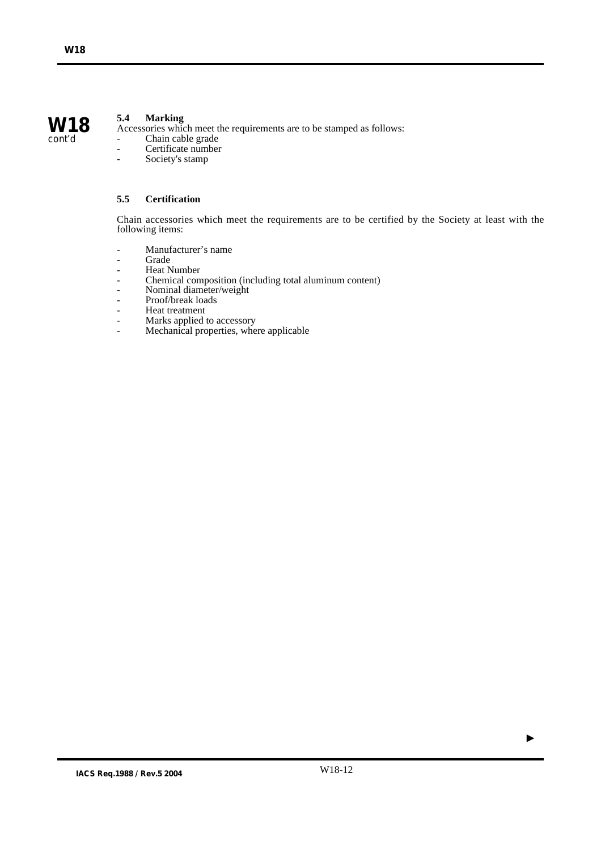# **5.4 Marking**

Accessories which meet the requirements are to be stamped as follows:

- Chain cable grade
- Certificate number<br>- Society's stamp
- Society's stamp

# **5.5 Certification**

Chain accessories which meet the requirements are to be certified by the Society at least with the following items:

- Manufacturer's name<br>- Grade
- **Grade**
- Heat Number<br>- Chemical com
- Chemical composition (including total aluminum content)
- Nominal diameter/weight
- Proof/break loads
- Heat treatment
- Marks applied to accessory
- Mechanical properties, where applicable